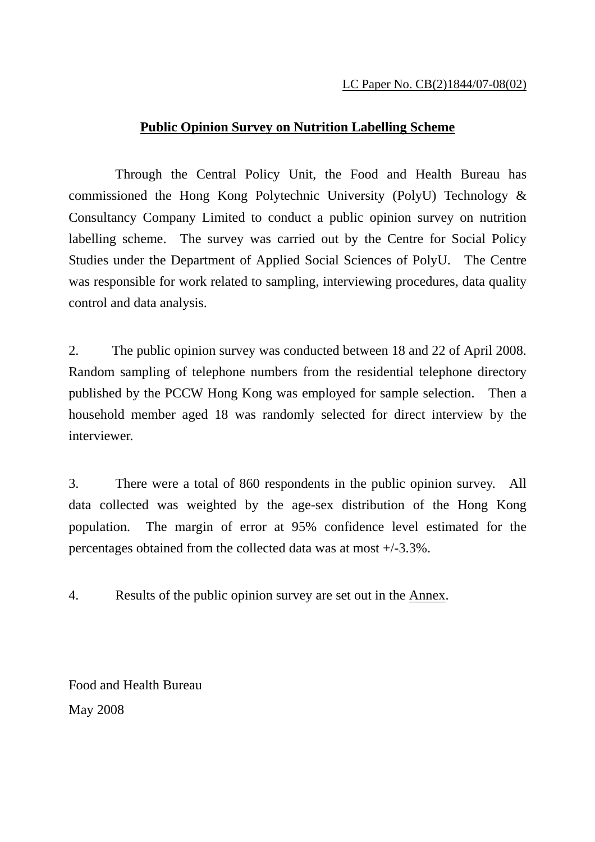## **Public Opinion Survey on Nutrition Labelling Scheme**

 Through the Central Policy Unit, the Food and Health Bureau has commissioned the Hong Kong Polytechnic University (PolyU) Technology & Consultancy Company Limited to conduct a public opinion survey on nutrition labelling scheme. The survey was carried out by the Centre for Social Policy Studies under the Department of Applied Social Sciences of PolyU. The Centre was responsible for work related to sampling, interviewing procedures, data quality control and data analysis.

2. The public opinion survey was conducted between 18 and 22 of April 2008. Random sampling of telephone numbers from the residential telephone directory published by the PCCW Hong Kong was employed for sample selection. Then a household member aged 18 was randomly selected for direct interview by the interviewer.

3. There were a total of 860 respondents in the public opinion survey. All data collected was weighted by the age-sex distribution of the Hong Kong population. The margin of error at 95% confidence level estimated for the percentages obtained from the collected data was at most +/-3.3%.

4. Results of the public opinion survey are set out in the Annex.

Food and Health Bureau May 2008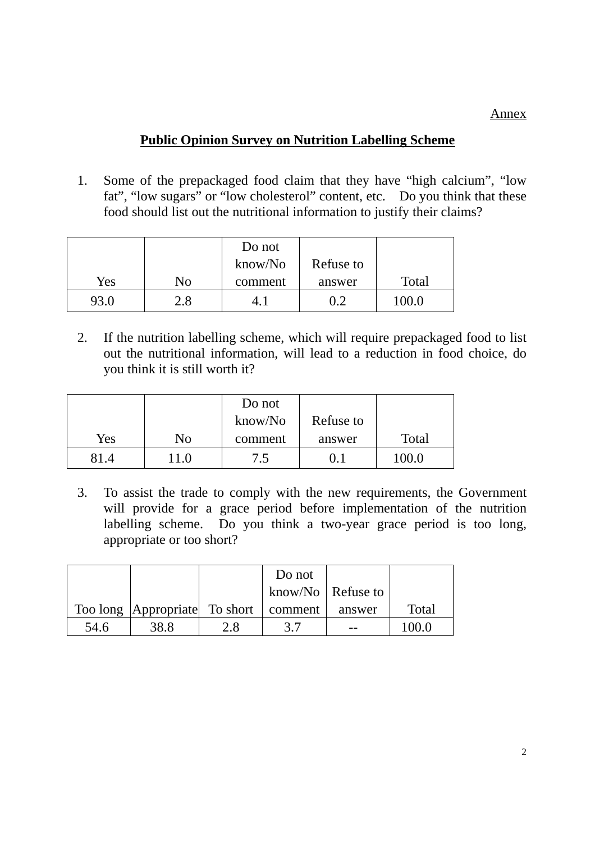Annex

## **Public Opinion Survey on Nutrition Labelling Scheme**

1. Some of the prepackaged food claim that they have "high calcium", "low fat", "low sugars" or "low cholesterol" content, etc. Do you think that these food should list out the nutritional information to justify their claims?

|      |     | Do not  |           |       |
|------|-----|---------|-----------|-------|
|      |     | know/No | Refuse to |       |
| Yes  | No  | comment | answer    | Total |
| 93.0 | 2.8 |         | 0.2       | 100.0 |

2. If the nutrition labelling scheme, which will require prepackaged food to list out the nutritional information, will lead to a reduction in food choice, do you think it is still worth it?

|      |       | Do not  |           |       |
|------|-------|---------|-----------|-------|
|      |       | know/No | Refuse to |       |
| Yes  | No    | comment | answer    | Total |
| 81.4 | l 1.0 | 7.5     | (0, 1)    | 100.0 |

3. To assist the trade to comply with the new requirements, the Government will provide for a grace period before implementation of the nutrition labelling scheme. Do you think a two-year grace period is too long, appropriate or too short?

|      |                                             |     | Do not              |        |       |
|------|---------------------------------------------|-----|---------------------|--------|-------|
|      |                                             |     | know/No   Refuse to |        |       |
|      | Too long   Appropriate   To short   comment |     |                     | answer | Total |
| 54.6 | 38.8                                        | 2.8 |                     |        |       |